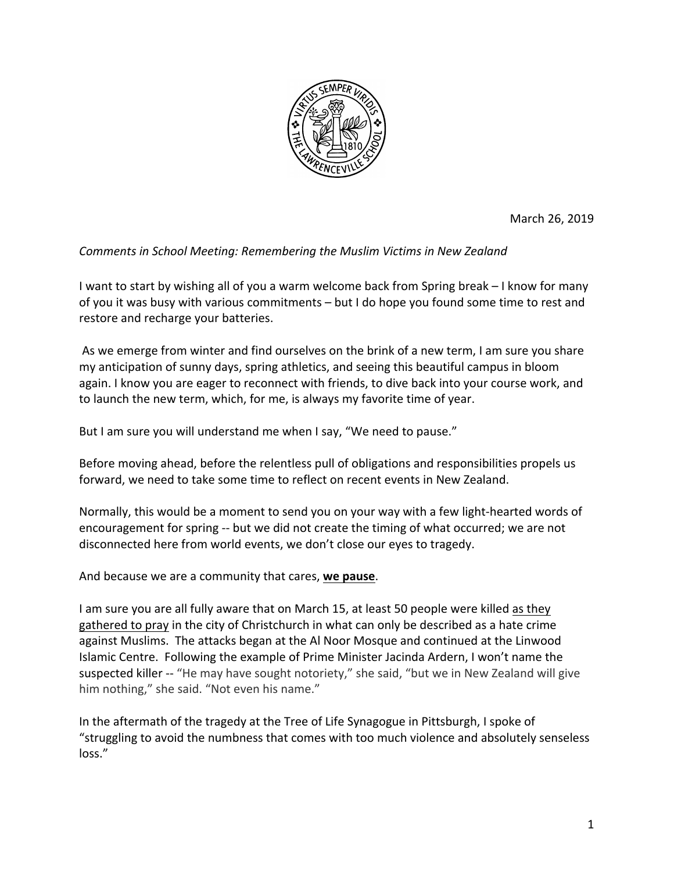

March 26, 2019

## **Comments in School Meeting: Remembering the Muslim Victims in New Zealand**

I want to start by wishing all of you a warm welcome back from Spring break – I know for many of you it was busy with various commitments – but I do hope you found some time to rest and restore and recharge your batteries.

As we emerge from winter and find ourselves on the brink of a new term, I am sure you share my anticipation of sunny days, spring athletics, and seeing this beautiful campus in bloom again. I know you are eager to reconnect with friends, to dive back into your course work, and to launch the new term, which, for me, is always my favorite time of year.

But I am sure you will understand me when I say, "We need to pause."

Before moving ahead, before the relentless pull of obligations and responsibilities propels us forward, we need to take some time to reflect on recent events in New Zealand.

Normally, this would be a moment to send you on your way with a few light-hearted words of encouragement for spring -- but we did not create the timing of what occurred; we are not disconnected here from world events, we don't close our eyes to tragedy.

And because we are a community that cares, we pause.

I am sure you are all fully aware that on March 15, at least 50 people were killed as they gathered to pray in the city of Christchurch in what can only be described as a hate crime against Muslims. The attacks began at the Al Noor Mosque and continued at the Linwood Islamic Centre. Following the example of Prime Minister Jacinda Ardern, I won't name the suspected killer -- "He may have sought notoriety," she said, "but we in New Zealand will give him nothing," she said. "Not even his name."

In the aftermath of the tragedy at the Tree of Life Synagogue in Pittsburgh, I spoke of "struggling to avoid the numbness that comes with too much violence and absolutely senseless loss."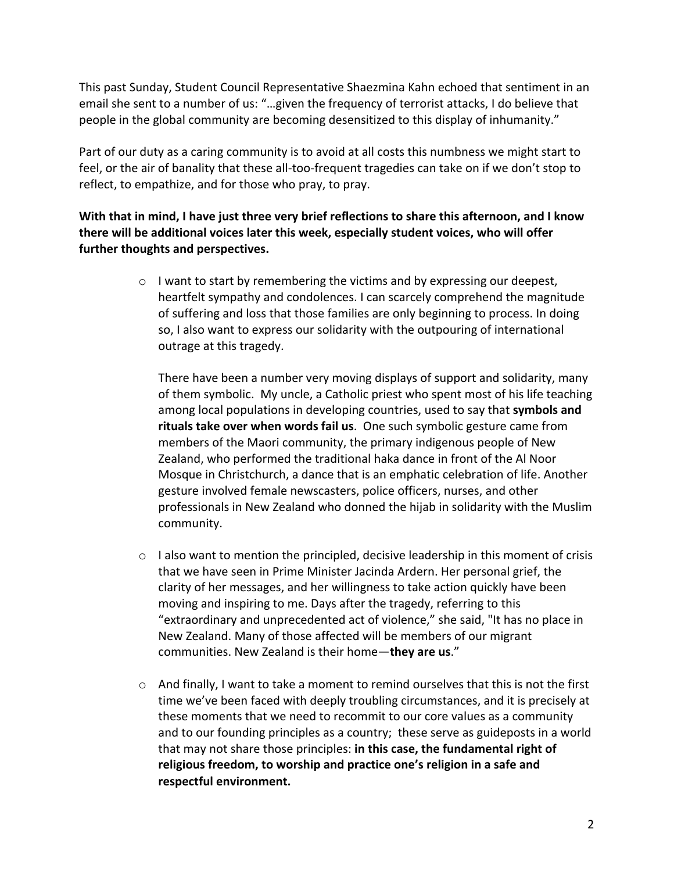This past Sunday, Student Council Representative Shaezmina Kahn echoed that sentiment in an email she sent to a number of us: "...given the frequency of terrorist attacks, I do believe that people in the global community are becoming desensitized to this display of inhumanity."

Part of our duty as a caring community is to avoid at all costs this numbness we might start to feel, or the air of banality that these all-too-frequent tragedies can take on if we don't stop to reflect, to empathize, and for those who pray, to pray.

## **With that in mind, I have just three very brief reflections to share this afternoon, and I know** there will be additional voices later this week, especially student voices, who will offer further thoughts and perspectives.

 $\circ$  I want to start by remembering the victims and by expressing our deepest, heartfelt sympathy and condolences. I can scarcely comprehend the magnitude of suffering and loss that those families are only beginning to process. In doing so, I also want to express our solidarity with the outpouring of international outrage at this tragedy.

There have been a number very moving displays of support and solidarity, many of them symbolic. My uncle, a Catholic priest who spent most of his life teaching among local populations in developing countries, used to say that **symbols and rituals take over when words fail us**. One such symbolic gesture came from members of the Maori community, the primary indigenous people of New Zealand, who performed the traditional haka dance in front of the Al Noor Mosque in Christchurch, a dance that is an emphatic celebration of life. Another gesture involved female newscasters, police officers, nurses, and other professionals in New Zealand who donned the hijab in solidarity with the Muslim community.

- $\circ$  I also want to mention the principled, decisive leadership in this moment of crisis that we have seen in Prime Minister Jacinda Ardern. Her personal grief, the clarity of her messages, and her willingness to take action quickly have been moving and inspiring to me. Days after the tragedy, referring to this "extraordinary and unprecedented act of violence," she said, "It has no place in New Zealand. Many of those affected will be members of our migrant communities. New Zealand is their home-they are us."
- $\circ$  And finally, I want to take a moment to remind ourselves that this is not the first time we've been faced with deeply troubling circumstances, and it is precisely at these moments that we need to recommit to our core values as a community and to our founding principles as a country; these serve as guideposts in a world that may not share those principles: in this case, the fundamental right of religious freedom, to worship and practice one's religion in a safe and respectful environment.